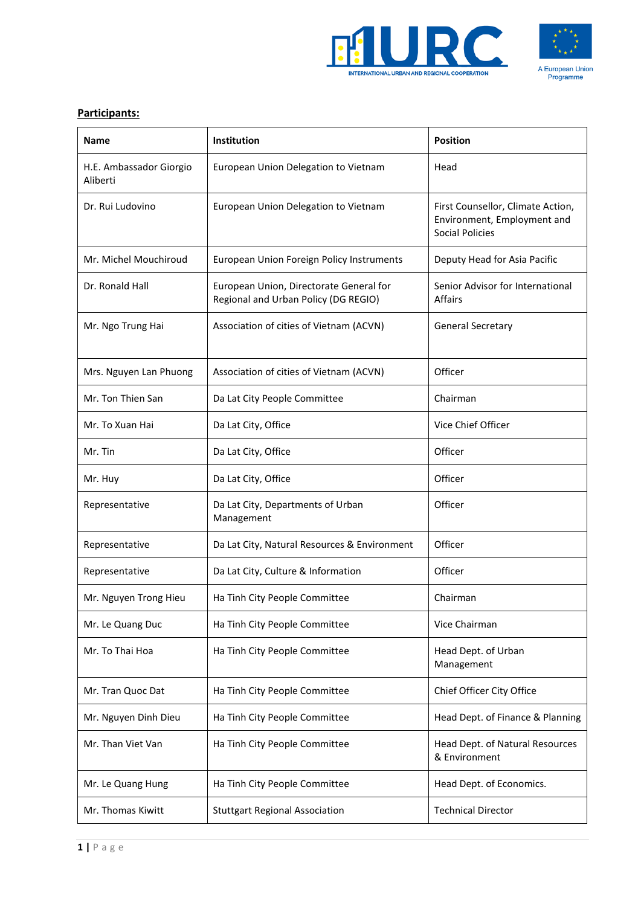



## **Participants:**

| Name                                | <b>Institution</b>                                                              | <b>Position</b>                                                                            |
|-------------------------------------|---------------------------------------------------------------------------------|--------------------------------------------------------------------------------------------|
| H.E. Ambassador Giorgio<br>Aliberti | European Union Delegation to Vietnam                                            | Head                                                                                       |
| Dr. Rui Ludovino                    | European Union Delegation to Vietnam                                            | First Counsellor, Climate Action,<br>Environment, Employment and<br><b>Social Policies</b> |
| Mr. Michel Mouchiroud               | European Union Foreign Policy Instruments                                       | Deputy Head for Asia Pacific                                                               |
| Dr. Ronald Hall                     | European Union, Directorate General for<br>Regional and Urban Policy (DG REGIO) | Senior Advisor for International<br><b>Affairs</b>                                         |
| Mr. Ngo Trung Hai                   | Association of cities of Vietnam (ACVN)                                         | <b>General Secretary</b>                                                                   |
| Mrs. Nguyen Lan Phuong              | Association of cities of Vietnam (ACVN)                                         | Officer                                                                                    |
| Mr. Ton Thien San                   | Da Lat City People Committee                                                    | Chairman                                                                                   |
| Mr. To Xuan Hai                     | Da Lat City, Office                                                             | Vice Chief Officer                                                                         |
| Mr. Tin                             | Da Lat City, Office                                                             | Officer                                                                                    |
| Mr. Huy                             | Da Lat City, Office                                                             | Officer                                                                                    |
| Representative                      | Da Lat City, Departments of Urban<br>Management                                 | Officer                                                                                    |
| Representative                      | Da Lat City, Natural Resources & Environment                                    | Officer                                                                                    |
| Representative                      | Da Lat City, Culture & Information                                              | Officer                                                                                    |
| Mr. Nguyen Trong Hieu               | Ha Tinh City People Committee                                                   | Chairman                                                                                   |
| Mr. Le Quang Duc                    | Ha Tinh City People Committee                                                   | Vice Chairman                                                                              |
| Mr. To Thai Hoa                     | Ha Tinh City People Committee                                                   | Head Dept. of Urban<br>Management                                                          |
| Mr. Tran Quoc Dat                   | Ha Tinh City People Committee                                                   | Chief Officer City Office                                                                  |
| Mr. Nguyen Dinh Dieu                | Ha Tinh City People Committee                                                   | Head Dept. of Finance & Planning                                                           |
| Mr. Than Viet Van                   | Ha Tinh City People Committee                                                   | Head Dept. of Natural Resources<br>& Environment                                           |
| Mr. Le Quang Hung                   | Ha Tinh City People Committee                                                   | Head Dept. of Economics.                                                                   |
| Mr. Thomas Kiwitt                   | <b>Stuttgart Regional Association</b>                                           | <b>Technical Director</b>                                                                  |